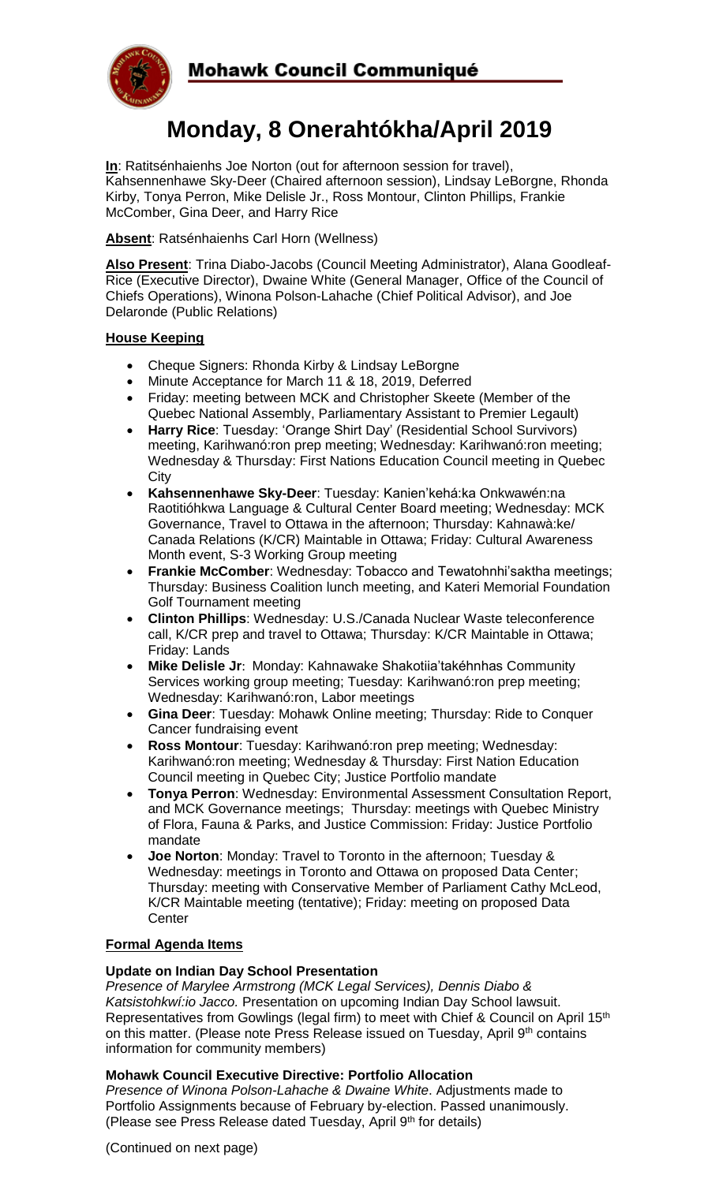



# **Monday, 8 Onerahtókha/April 2019**

**In**: Ratitsénhaienhs Joe Norton (out for afternoon session for travel), Kahsennenhawe Sky-Deer (Chaired afternoon session), Lindsay LeBorgne, Rhonda Kirby, Tonya Perron, Mike Delisle Jr., Ross Montour, Clinton Phillips, Frankie McComber, Gina Deer, and Harry Rice

**Absent**: Ratsénhaienhs Carl Horn (Wellness)

**Also Present**: Trina Diabo-Jacobs (Council Meeting Administrator), Alana Goodleaf-Rice (Executive Director), Dwaine White (General Manager, Office of the Council of Chiefs Operations), Winona Polson-Lahache (Chief Political Advisor), and Joe Delaronde (Public Relations)

#### **House Keeping**

- Cheque Signers: Rhonda Kirby & Lindsay LeBorgne
- Minute Acceptance for March 11 & 18, 2019, Deferred
- Friday: meeting between MCK and Christopher Skeete (Member of the Quebec National Assembly, Parliamentary Assistant to Premier Legault)
- **Harry Rice**: Tuesday: 'Orange Shirt Day' (Residential School Survivors) meeting, Karihwanó:ron prep meeting; Wednesday: Karihwanó:ron meeting; Wednesday & Thursday: First Nations Education Council meeting in Quebec **City**
- **Kahsennenhawe Sky-Deer**: Tuesday: Kanien'kehá:ka Onkwawén:na Raotitióhkwa Language & Cultural Center Board meeting; Wednesday: MCK Governance, Travel to Ottawa in the afternoon; Thursday: Kahnawà:ke/ Canada Relations (K/CR) Maintable in Ottawa; Friday: Cultural Awareness Month event, S-3 Working Group meeting
- **Frankie McComber**: Wednesday: Tobacco and Tewatohnhi'saktha meetings; Thursday: Business Coalition lunch meeting, and Kateri Memorial Foundation Golf Tournament meeting
- **Clinton Phillips**: Wednesday: U.S./Canada Nuclear Waste teleconference call, K/CR prep and travel to Ottawa; Thursday: K/CR Maintable in Ottawa; Friday: Lands
- **Mike Delisle Jr**: Monday: Kahnawake Shakotiia'takéhnhas Community Services working group meeting; Tuesday: Karihwanó:ron prep meeting; Wednesday: Karihwanó:ron, Labor meetings
- **Gina Deer**: Tuesday: Mohawk Online meeting; Thursday: Ride to Conquer Cancer fundraising event
- **Ross Montour**: Tuesday: Karihwanó:ron prep meeting; Wednesday: Karihwanó:ron meeting; Wednesday & Thursday: First Nation Education Council meeting in Quebec City; Justice Portfolio mandate
- **Tonya Perron**: Wednesday: Environmental Assessment Consultation Report, and MCK Governance meetings; Thursday: meetings with Quebec Ministry of Flora, Fauna & Parks, and Justice Commission: Friday: Justice Portfolio mandate
- **Joe Norton**: Monday: Travel to Toronto in the afternoon; Tuesday & Wednesday: meetings in Toronto and Ottawa on proposed Data Center; Thursday: meeting with Conservative Member of Parliament Cathy McLeod, K/CR Maintable meeting (tentative); Friday: meeting on proposed Data **Center**

#### **Formal Agenda Items**

#### **Update on Indian Day School Presentation**

*Presence of Marylee Armstrong (MCK Legal Services), Dennis Diabo & Katsistohkwí:io Jacco.* Presentation on upcoming Indian Day School lawsuit. Representatives from Gowlings (legal firm) to meet with Chief & Council on April 15th on this matter. (Please note Press Release issued on Tuesday, April 9<sup>th</sup> contains information for community members)

#### **Mohawk Council Executive Directive: Portfolio Allocation**

*Presence of Winona Polson-Lahache & Dwaine White*. Adjustments made to Portfolio Assignments because of February by-election. Passed unanimously. (Please see Press Release dated Tuesday, April 9th for details)

(Continued on next page)